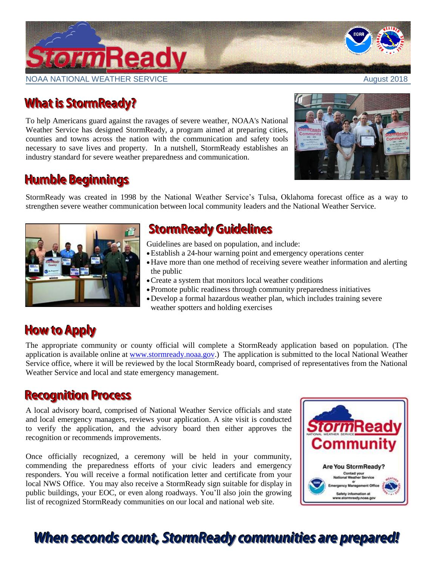## **TormReady**

NOAA NATIONAL WEATHER SERVICE AUGUST 2018

## **What is StormReady?**

To help Americans guard against the ravages of severe weather, [NOAA's National](http://www.nws.noaa.gov/)  [Weather Service](http://www.nws.noaa.gov/) has designed [StormReady,](http://www.nws.noaa.gov/stormready) a program aimed at preparing cities, counties and towns across the nation with the communication and safety tools necessary to save lives and property. In a nutshell, StormReady establishes an industry standard for severe weather preparedness and communication.

## **Humble Beginnings**

StormReady was created in 1998 by the [National Weather Service's Tulsa, Oklahoma](http://www.nwstulsa.noaa.gov/) forecast office as a way to strengthen severe weather communication between local community leaders and the National Weather Service.



## **StormReady Guidelines**

Guidelines are based on population, and include:

- Establish a 24-hour warning point and emergency operations center
- Have more than one method of receiving severe weather information and alerting the public
- Create a system that monitors local weather conditions
- Promote public readiness through community preparedness initiatives
- Develop a formal hazardous weather plan, which includes training severe weather spotters and holding exercises

## **How to Apply**

The appropriate community or county official will complete a StormReady application based on population. (The application is available online at [www.stormready.noaa.gov.](http://www.stormready.noaa.gov/)) The application is submitted to the local National Weather Service office, where it will be reviewed by the local StormReady board, comprised of representatives from the National Weather Service and local and state emergency management.

### **Recognition Process**

A local advisory board, comprised of National Weather Service officials and state and local emergency managers, reviews your application. A site visit is conducted to verify the application, and the advisory board then either approves the recognition or recommends improvements.

Once officially recognized, a ceremony will be held in your community, commending the preparedness efforts of your civic leaders and emergency responders. You will receive a formal notification letter and certificate from your local NWS Office. You may also receive a StormReady sign suitable for display in public buildings, your EOC, or even along roadways. You'll also join the growing list of recognized StormReady communities on our local and national web site.



## When seconds count, StormReady communities are prepared!